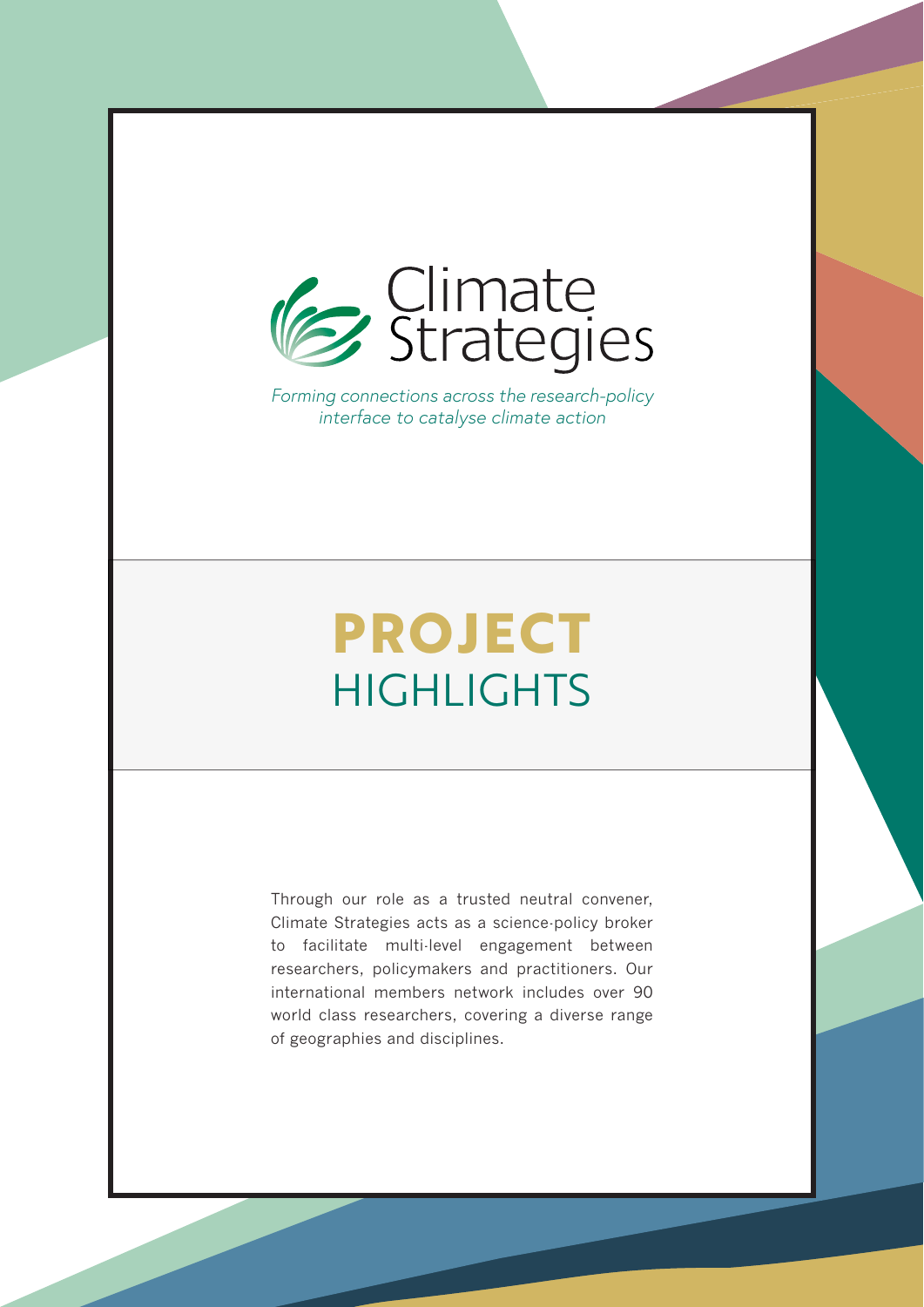

*Forming connections across the research-policy interface to catalyse climate action*

# **PROJECT HIGHLIGHTS**

Through our role as a trusted neutral convener, Climate Strategies acts as a science-policy broker to facilitate multi-level engagement between researchers, policymakers and practitioners. Our international members network includes over 90 world class researchers, covering a diverse range of geographies and disciplines.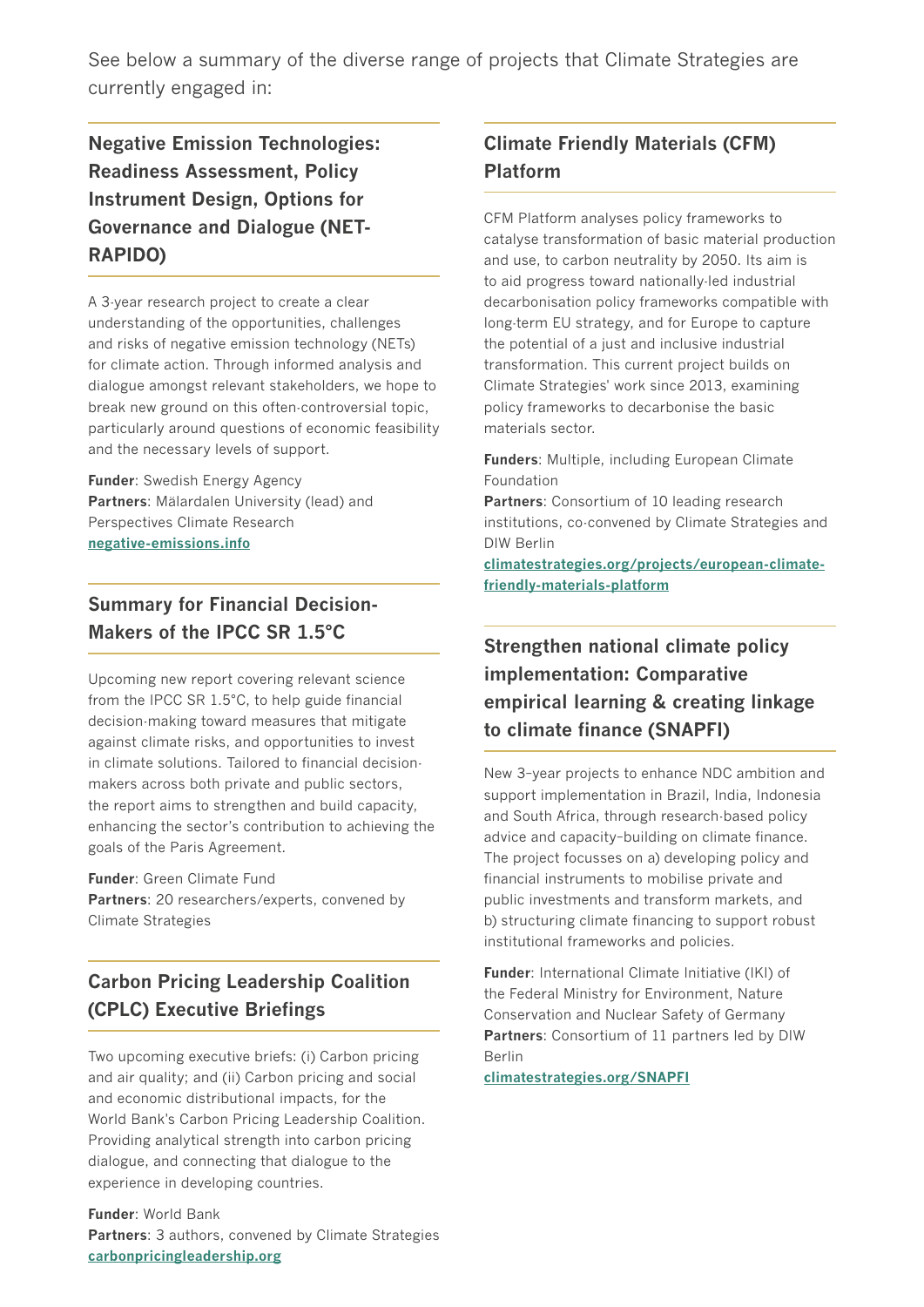See below a summary of the diverse range of projects that Climate Strategies are currently engaged in:

**Negative Emission Technologies: Readiness Assessment, Policy Instrument Design, Options for Governance and Dialogue (NET-RAPIDO)**

A 3-year research project to create a clear understanding of the opportunities, challenges and risks of negative emission technology (NETs) for climate action. Through informed analysis and dialogue amongst relevant stakeholders, we hope to break new ground on this often-controversial topic, particularly around questions of economic feasibility and the necessary levels of support.

**Funder**: Swedish Energy Agency **Partners**: Mälardalen University (lead) and Perspectives Climate Research **[negative-emissions.info](http://www.negative-emissions.info)**

**Summary for Financial Decision-Makers of the IPCC SR 1.5°C**

Upcoming new report covering relevant science from the IPCC SR 1.5°C, to help guide financial decision-making toward measures that mitigate against climate risks, and opportunities to invest in climate solutions. Tailored to financial decisionmakers across both private and public sectors, the report aims to strengthen and build capacity, enhancing the sector's contribution to achieving the goals of the Paris Agreement.

#### **Funder**: Green Climate Fund

**Partners**: 20 researchers/experts, convened by Climate Strategies

# **Carbon Pricing Leadership Coalition (CPLC) Executive Briefings**

Two upcoming executive briefs: (i) Carbon pricing and air quality; and (ii) Carbon pricing and social and economic distributional impacts, for the World Bank's Carbon Pricing Leadership Coalition. Providing analytical strength into carbon pricing dialogue, and connecting that dialogue to the experience in developing countries.

**Funder**: World Bank **Partners**: 3 authors, convened by Climate Strategies **[carbonpricingleadership.org](http://www.carbonpricingleadership.org)**

# **Climate Friendly Materials (CFM) Platform**

CFM Platform analyses policy frameworks to catalyse transformation of basic material production and use, to carbon neutrality by 2050. Its aim is to aid progress toward nationally-led industrial decarbonisation policy frameworks compatible with long-term EU strategy, and for Europe to capture the potential of a just and inclusive industrial transformation. This current project builds on Climate Strategies' work since 2013, examining policy frameworks to decarbonise the basic materials sector.

**Funders**: Multiple, including European Climate Foundation

**Partners**: Consortium of 10 leading research institutions, co-convened by Climate Strategies and DIW Berlin

**[climatestrategies.org/projects/european-climate](http://www.climatestrategies.org/projects/european-climate-friendly-materials-platform)[friendly-materials-platform](http://www.climatestrategies.org/projects/european-climate-friendly-materials-platform)**

# **Strengthen national climate policy implementation: Comparative empirical learning & creating linkage to climate finance (SNAPFI)**

New 3–year projects to enhance NDC ambition and support implementation in Brazil, India, Indonesia and South Africa, through research-based policy advice and capacity–building on climate finance. The project focusses on a) developing policy and financial instruments to mobilise private and public investments and transform markets, and b) structuring climate financing to support robust institutional frameworks and policies.

**Funder**: International Climate Initiative (IKI) of the Federal Ministry for Environment, Nature Conservation and Nuclear Safety of Germany **Partners**: Consortium of 11 partners led by DIW Berlin

**[climatestrategies.org/SNAPFI](http://www.climatestrategies.org/SNAPFI)**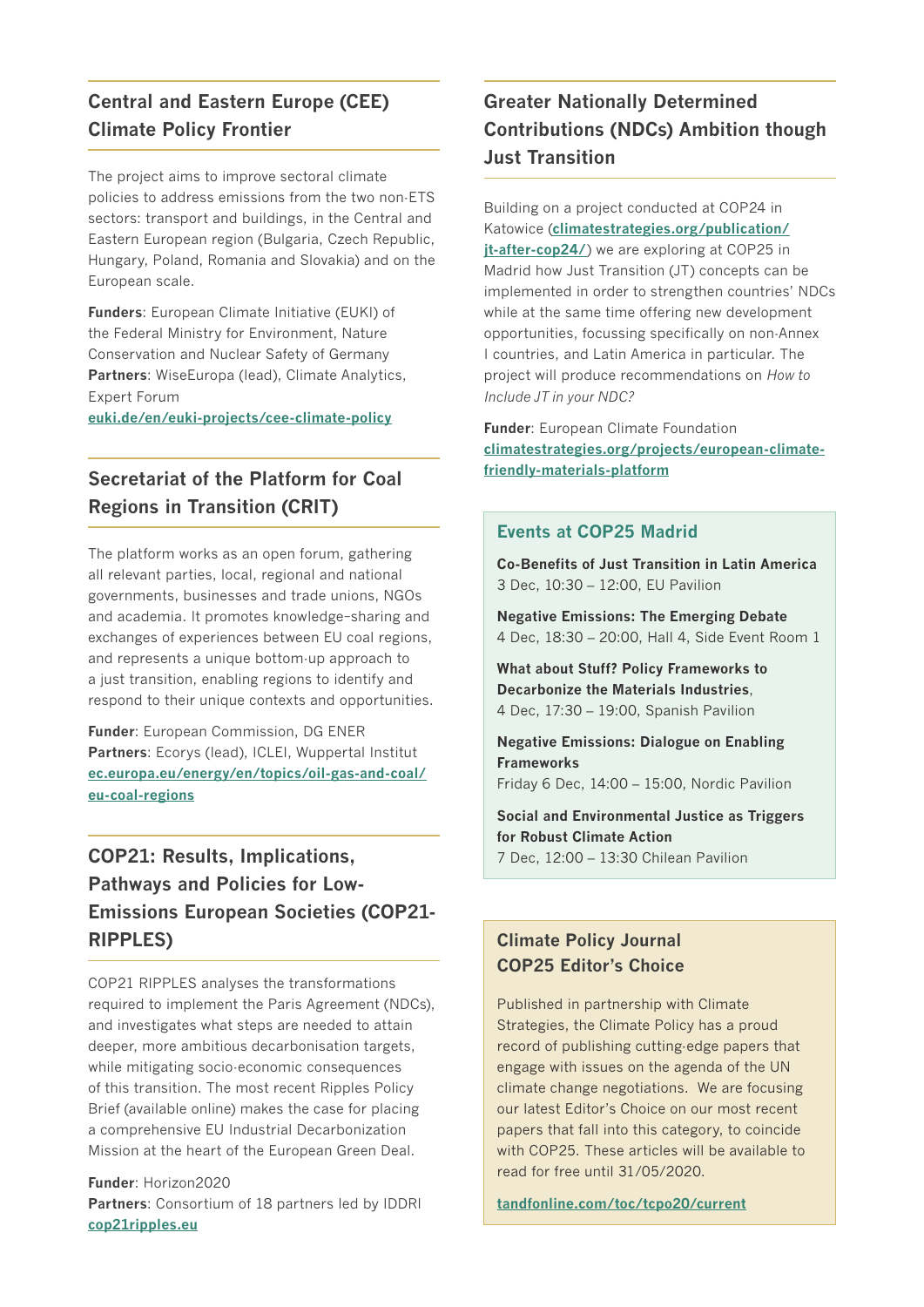# **Central and Eastern Europe (CEE) Climate Policy Frontier**

The project aims to improve sectoral climate policies to address emissions from the two non-ETS sectors: transport and buildings, in the Central and Eastern European region (Bulgaria, Czech Republic, Hungary, Poland, Romania and Slovakia) and on the European scale.

**Funders**: European Climate Initiative (EUKI) of the Federal Ministry for Environment, Nature Conservation and Nuclear Safety of Germany **Partners**: WiseEuropa (lead), Climate Analytics, Expert Forum

**[euki.de/en/euki-projects/cee-climate-policy](http://www.euki.de/en/euki-projects/cee-climate-policy)**

# **Secretariat of the Platform for Coal Regions in Transition (CRIT)**

The platform works as an open forum, gathering all relevant parties, local, regional and national governments, businesses and trade unions, NGOs and academia. It promotes knowledge–sharing and exchanges of experiences between EU coal regions, and represents a unique bottom-up approach to a just transition, enabling regions to identify and respond to their unique contexts and opportunities.

**Funder**: European Commission, DG ENER **Partners**: Ecorys (lead), ICLEI, Wuppertal Institut **[ec.europa.eu/energy/en/topics/oil-gas-and-coal/](http://www.ec.europa.eu/energy/en/topics/oil-gas-and-coal/eu-coal-regions) [eu-coal-regions](http://www.ec.europa.eu/energy/en/topics/oil-gas-and-coal/eu-coal-regions)**

# **COP21: Results, Implications, Pathways and Policies for Low-Emissions European Societies (COP21- RIPPLES)**

COP21 RIPPLES analyses the transformations required to implement the Paris Agreement (NDCs), and investigates what steps are needed to attain deeper, more ambitious decarbonisation targets, while mitigating socio-economic consequences of this transition. The most recent Ripples Policy Brief (available online) makes the case for placing a comprehensive EU Industrial Decarbonization Mission at the heart of the European Green Deal.

**Funder**: Horizon2020 **Partners**: Consortium of 18 partners led by IDDRI **[cop21ripples.eu](http://www.cop21ripples.eu)**

# **Greater Nationally Determined Contributions (NDCs) Ambition though Just Transition**

Building on a project conducted at COP24 in Katowice (**[climatestrategies.org/publication/](http://climatestrategies.org/publication/jt-after-cop24/) [jt-after-cop24/](http://climatestrategies.org/publication/jt-after-cop24/)**) we are exploring at COP25 in Madrid how Just Transition (JT) concepts can be implemented in order to strengthen countries' NDCs while at the same time offering new development opportunities, focussing specifically on non-Annex I countries, and Latin America in particular. The project will produce recommendations on *How to Include JT in your NDC?*

**Funder**: European Climate Foundation **[climatestrategies.org/projects/european-climate](http://www.climatestrategies.org/projects/european-climate-friendly-materials-platform)[friendly-materials-platform](http://www.climatestrategies.org/projects/european-climate-friendly-materials-platform)**

#### **Events at COP25 Madrid**

**Co-Benefits of Just Transition in Latin America** 3 Dec, 10:30 – 12:00, EU Pavilion

**Negative Emissions: The Emerging Debate** 4 Dec, 18:30 – 20:00, Hall 4, Side Event Room 1

**What about Stuff? Policy Frameworks to Decarbonize the Materials Industries**, 4 Dec, 17:30 – 19:00, Spanish Pavilion

**Negative Emissions: Dialogue on Enabling Frameworks** Friday 6 Dec, 14:00 – 15:00, Nordic Pavilion

**Social and Environmental Justice as Triggers for Robust Climate Action** 7 Dec, 12:00 – 13:30 Chilean Pavilion

#### **Climate Policy Journal COP25 Editor's Choice**

Published in partnership with Climate Strategies, the Climate Policy has a proud record of publishing cutting-edge papers that engage with issues on the agenda of the UN climate change negotiations. We are focusing our latest Editor's Choice on our most recent papers that fall into this category, to coincide with COP25. These articles will be available to read for free until 31/05/2020.

**[tandfonline.com/toc/tcpo20/current](http://www.tandfonline.com/toc/tcpo20/current)**